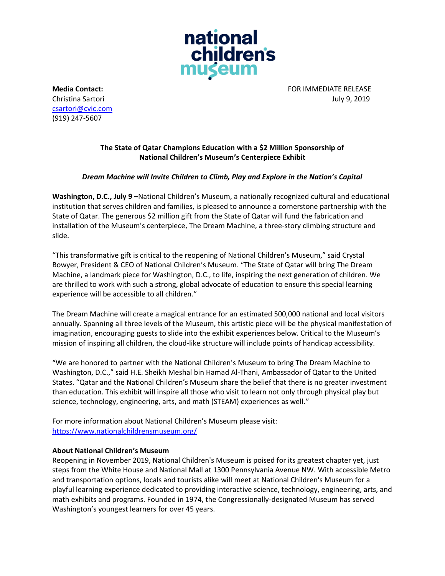

[csartori@cvic.com](mailto:csartori@cvic.com) (919) 247-5607

**Media Contact:** FOR IMMEDIATE RELEASE Christina Sartori July 9, 2019

## **The State of Qatar Champions Education with a \$2 Million Sponsorship of National Children's Museum's Centerpiece Exhibit**

## *Dream Machine will Invite Children to Climb, Play and Explore in the Nation's Capital*

**Washington, D.C., July 9 –**National Children's Museum, a nationally recognized cultural and educational institution that serves children and families, is pleased to announce a cornerstone partnership with the State of Qatar. The generous \$2 million gift from the State of Qatar will fund the fabrication and installation of the Museum's centerpiece, The Dream Machine, a three-story climbing structure and slide.

"This transformative gift is critical to the reopening of National Children's Museum," said Crystal Bowyer, President & CEO of National Children's Museum. "The State of Qatar will bring The Dream Machine, a landmark piece for Washington, D.C., to life, inspiring the next generation of children. We are thrilled to work with such a strong, global advocate of education to ensure this special learning experience will be accessible to all children."

The Dream Machine will create a magical entrance for an estimated 500,000 national and local visitors annually. Spanning all three levels of the Museum, this artistic piece will be the physical manifestation of imagination, encouraging guests to slide into the exhibit experiences below. Critical to the Museum's mission of inspiring all children, the cloud-like structure will include points of handicap accessibility.

"We are honored to partner with the National Children's Museum to bring The Dream Machine to Washington, D.C.," said H.E. Sheikh Meshal bin Hamad Al-Thani, Ambassador of Qatar to the United States. "Qatar and the National Children's Museum share the belief that there is no greater investment than education. This exhibit will inspire all those who visit to learn not only through physical play but science, technology, engineering, arts, and math (STEAM) experiences as well."

For more information about National Children's Museum please visit: <https://www.nationalchildrensmuseum.org/>

## **About National Children's Museum**

Reopening in November 2019, National Children's Museum is poised for its greatest chapter yet, just steps from the White House and National Mall at 1300 Pennsylvania Avenue NW. With accessible Metro and transportation options, locals and tourists alike will meet at National Children's Museum for a playful learning experience dedicated to providing interactive science, technology, engineering, arts, and math exhibits and programs. Founded in 1974, the Congressionally-designated Museum has served Washington's youngest learners for over 45 years.